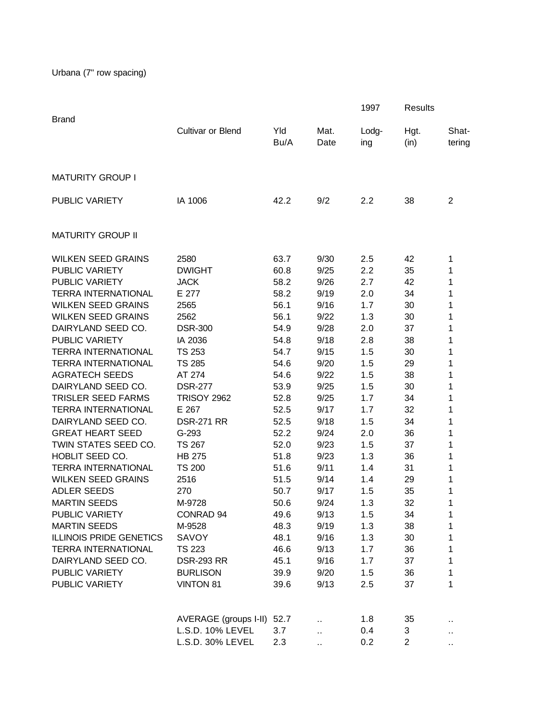| <b>Brand</b>                   |                       |             |              | 1997         | <b>Results</b> |                 |
|--------------------------------|-----------------------|-------------|--------------|--------------|----------------|-----------------|
|                                | Cultivar or Blend     | Yld<br>Bu/A | Mat.<br>Date | Lodg-<br>ing | Hgt.<br>(in)   | Shat-<br>tering |
| <b>MATURITY GROUP I</b>        |                       |             |              |              |                |                 |
| <b>PUBLIC VARIETY</b>          | IA 1006               | 42.2        | 9/2          | 2.2          | 38             | $\overline{2}$  |
| <b>MATURITY GROUP II</b>       |                       |             |              |              |                |                 |
| <b>WILKEN SEED GRAINS</b>      | 2580                  | 63.7        | 9/30         | 2.5          | 42             | 1               |
| PUBLIC VARIETY                 | <b>DWIGHT</b>         | 60.8        | 9/25         | 2.2          | 35             | 1               |
| PUBLIC VARIETY                 | <b>JACK</b>           | 58.2        | 9/26         | 2.7          | 42             | 1               |
| <b>TERRA INTERNATIONAL</b>     | E 277                 | 58.2        | 9/19         | 2.0          | 34             | 1               |
| <b>WILKEN SEED GRAINS</b>      | 2565                  | 56.1        | 9/16         | 1.7          | 30             | 1               |
| <b>WILKEN SEED GRAINS</b>      | 2562                  | 56.1        | 9/22         | 1.3          | 30             | 1               |
| DAIRYLAND SEED CO.             | <b>DSR-300</b>        | 54.9        | 9/28         | 2.0          | 37             | 1               |
| PUBLIC VARIETY                 | IA 2036               | 54.8        | 9/18         | 2.8          | 38             | 1               |
| <b>TERRA INTERNATIONAL</b>     | <b>TS 253</b>         | 54.7        | 9/15         | 1.5          | 30             | 1               |
| <b>TERRA INTERNATIONAL</b>     | <b>TS 285</b>         | 54.6        | 9/20         | 1.5          | 29             | 1               |
| <b>AGRATECH SEEDS</b>          | AT 274                | 54.6        | 9/22         | 1.5          | 38             | 1               |
| DAIRYLAND SEED CO.             | <b>DSR-277</b>        | 53.9        | 9/25         | 1.5          | 30             | 1               |
| <b>TRISLER SEED FARMS</b>      | <b>TRISOY 2962</b>    | 52.8        | 9/25         | 1.7          | 34             | 1               |
| <b>TERRA INTERNATIONAL</b>     | E 267                 | 52.5        | 9/17         | 1.7          | 32             | 1               |
| DAIRYLAND SEED CO.             | <b>DSR-271 RR</b>     | 52.5        | 9/18         | 1.5          | 34             | 1               |
| <b>GREAT HEART SEED</b>        | G-293                 | 52.2        | 9/24         | 2.0          | 36             | 1               |
| TWIN STATES SEED CO.           | TS 267                | 52.0        | 9/23         | 1.5          | 37             | 1               |
| HOBLIT SEED CO.                | <b>HB 275</b>         | 51.8        | 9/23         | 1.3          | 36             | 1               |
| <b>TERRA INTERNATIONAL</b>     | <b>TS 200</b>         | 51.6        | 9/11         | 1.4          | 31             | 1               |
| <b>WILKEN SEED GRAINS</b>      | 2516                  | 51.5        | 9/14         | 1.4          | 29             | 1               |
| <b>ADLER SEEDS</b>             | 270                   | 50.7        | 9/17         | 1.5          | 35             | 1               |
| <b>MARTIN SEEDS</b>            | M-9728                | 50.6        | 9/24         | 1.3          | 32             | 1               |
| PUBLIC VARIETY                 | CONRAD 94             | 49.6        | 9/13         | 1.5          | 34             | 1               |
| <b>MARTIN SEEDS</b>            | M-9528                | 48.3        | 9/19         | 1.3          | 38             | 1               |
| <b>ILLINOIS PRIDE GENETICS</b> | SAVOY                 | 48.1        | 9/16         | 1.3          | 30             | 1               |
| <b>TERRA INTERNATIONAL</b>     | <b>TS 223</b>         | 46.6        | 9/13         | 1.7          | 36             | 1               |
| DAIRYLAND SEED CO.             | <b>DSR-293 RR</b>     | 45.1        | 9/16         | 1.7          | 37             | 1               |
| PUBLIC VARIETY                 | <b>BURLISON</b>       | 39.9        | 9/20         | 1.5          | 36             | 1               |
| PUBLIC VARIETY                 | <b>VINTON 81</b>      | 39.6        | 9/13         | 2.5          | 37             | 1               |
|                                | AVERAGE (groups I-II) | 52.7        |              | 1.8          | 35             |                 |
|                                | L.S.D. 10% LEVEL      | 3.7         |              | 0.4          | 3              | ٠.              |
|                                | L.S.D. 30% LEVEL      | 2.3         | и,           | 0.2          | $\overline{2}$ | .,              |
|                                |                       |             | å.           |              |                | Ω,              |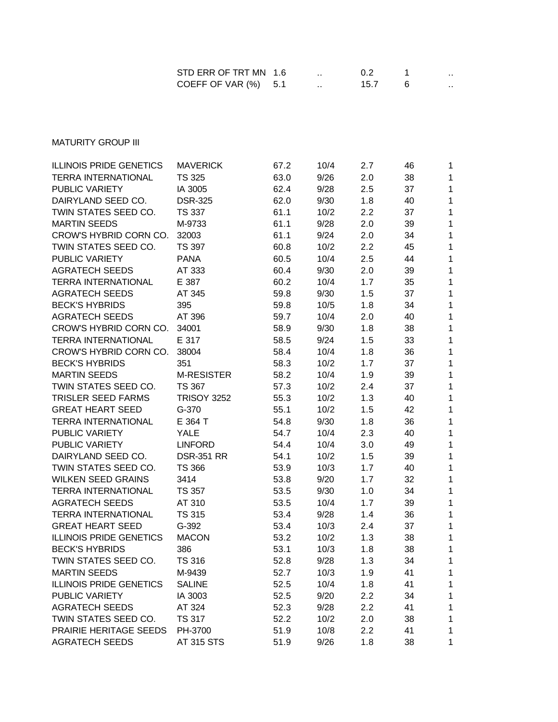| STD ERR OF TRT MN 1.6  |  |      | .   |
|------------------------|--|------|-----|
| COEFF OF VAR $(%)$ 5.1 |  | 15.7 | . . |

**MATURITY GROUP III** 

| <b>ILLINOIS PRIDE GENETICS</b> | <b>MAVERICK</b>    | 67.2 | 10/4 | 2.7 | 46 | 1            |
|--------------------------------|--------------------|------|------|-----|----|--------------|
| <b>TERRA INTERNATIONAL</b>     | <b>TS 325</b>      | 63.0 | 9/26 | 2.0 | 38 | 1            |
| <b>PUBLIC VARIETY</b>          | IA 3005            | 62.4 | 9/28 | 2.5 | 37 | 1            |
| DAIRYLAND SEED CO.             | <b>DSR-325</b>     | 62.0 | 9/30 | 1.8 | 40 | 1            |
| TWIN STATES SEED CO.           | <b>TS 337</b>      | 61.1 | 10/2 | 2.2 | 37 | 1            |
| <b>MARTIN SEEDS</b>            | M-9733             | 61.1 | 9/28 | 2.0 | 39 | 1            |
| CROW'S HYBRID CORN CO.         | 32003              | 61.1 | 9/24 | 2.0 | 34 | 1            |
| TWIN STATES SEED CO.           | TS 397             | 60.8 | 10/2 | 2.2 | 45 | $\mathbf{1}$ |
| <b>PUBLIC VARIETY</b>          | <b>PANA</b>        | 60.5 | 10/4 | 2.5 | 44 | 1            |
| <b>AGRATECH SEEDS</b>          | AT 333             | 60.4 | 9/30 | 2.0 | 39 | 1            |
| <b>TERRA INTERNATIONAL</b>     | E 387              | 60.2 | 10/4 | 1.7 | 35 | 1            |
| <b>AGRATECH SEEDS</b>          | AT 345             | 59.8 | 9/30 | 1.5 | 37 | 1            |
| <b>BECK'S HYBRIDS</b>          | 395                | 59.8 | 10/5 | 1.8 | 34 | $\mathbf{1}$ |
| <b>AGRATECH SEEDS</b>          | AT 396             | 59.7 | 10/4 | 2.0 | 40 | 1            |
| CROW'S HYBRID CORN CO.         | 34001              | 58.9 | 9/30 | 1.8 | 38 | $\mathbf{1}$ |
| <b>TERRA INTERNATIONAL</b>     | E 317              | 58.5 | 9/24 | 1.5 | 33 | $\mathbf{1}$ |
| CROW'S HYBRID CORN CO.         | 38004              | 58.4 | 10/4 | 1.8 | 36 | 1            |
| <b>BECK'S HYBRIDS</b>          | 351                | 58.3 | 10/2 | 1.7 | 37 | 1            |
| <b>MARTIN SEEDS</b>            | <b>M-RESISTER</b>  | 58.2 | 10/4 | 1.9 | 39 | 1            |
| TWIN STATES SEED CO.           | <b>TS 367</b>      | 57.3 | 10/2 | 2.4 | 37 | 1            |
| <b>TRISLER SEED FARMS</b>      | <b>TRISOY 3252</b> | 55.3 | 10/2 | 1.3 | 40 | 1            |
| <b>GREAT HEART SEED</b>        | $G - 370$          | 55.1 | 10/2 | 1.5 | 42 | 1            |
| <b>TERRA INTERNATIONAL</b>     | E 364 T            | 54.8 | 9/30 | 1.8 | 36 | 1            |
| <b>PUBLIC VARIETY</b>          | YALE               | 54.7 | 10/4 | 2.3 | 40 | 1            |
| <b>PUBLIC VARIETY</b>          | <b>LINFORD</b>     | 54.4 | 10/4 | 3.0 | 49 | 1            |
| DAIRYLAND SEED CO.             | <b>DSR-351 RR</b>  | 54.1 | 10/2 | 1.5 | 39 | 1            |
| TWIN STATES SEED CO.           | <b>TS 366</b>      | 53.9 | 10/3 | 1.7 | 40 | 1            |
| <b>WILKEN SEED GRAINS</b>      | 3414               | 53.8 | 9/20 | 1.7 | 32 | 1            |
| <b>TERRA INTERNATIONAL</b>     | <b>TS 357</b>      | 53.5 | 9/30 | 1.0 | 34 | $\mathbf{1}$ |
| <b>AGRATECH SEEDS</b>          | AT 310             | 53.5 | 10/4 | 1.7 | 39 | 1            |
| <b>TERRA INTERNATIONAL</b>     | <b>TS 315</b>      | 53.4 | 9/28 | 1.4 | 36 | 1            |
| <b>GREAT HEART SEED</b>        | G-392              | 53.4 | 10/3 | 2.4 | 37 | 1            |
| <b>ILLINOIS PRIDE GENETICS</b> | <b>MACON</b>       | 53.2 | 10/2 | 1.3 | 38 | 1            |
| <b>BECK'S HYBRIDS</b>          | 386                | 53.1 | 10/3 | 1.8 | 38 | 1            |
| TWIN STATES SEED CO.           | <b>TS 316</b>      | 52.8 | 9/28 | 1.3 | 34 | 1            |
| <b>MARTIN SEEDS</b>            | M-9439             | 52.7 | 10/3 | 1.9 | 41 | 1            |
| <b>ILLINOIS PRIDE GENETICS</b> | <b>SALINE</b>      | 52.5 | 10/4 | 1.8 | 41 | 1            |
| PUBLIC VARIETY                 | IA 3003            | 52.5 | 9/20 | 2.2 | 34 | 1            |
| <b>AGRATECH SEEDS</b>          | AT 324             | 52.3 | 9/28 | 2.2 | 41 | 1            |
| TWIN STATES SEED CO.           | <b>TS 317</b>      | 52.2 | 10/2 | 2.0 | 38 | 1            |
| PRAIRIE HERITAGE SEEDS         | PH-3700            | 51.9 | 10/8 | 2.2 | 41 | 1            |
| <b>AGRATECH SEEDS</b>          | AT 315 STS         | 51.9 | 9/26 | 1.8 | 38 | 1            |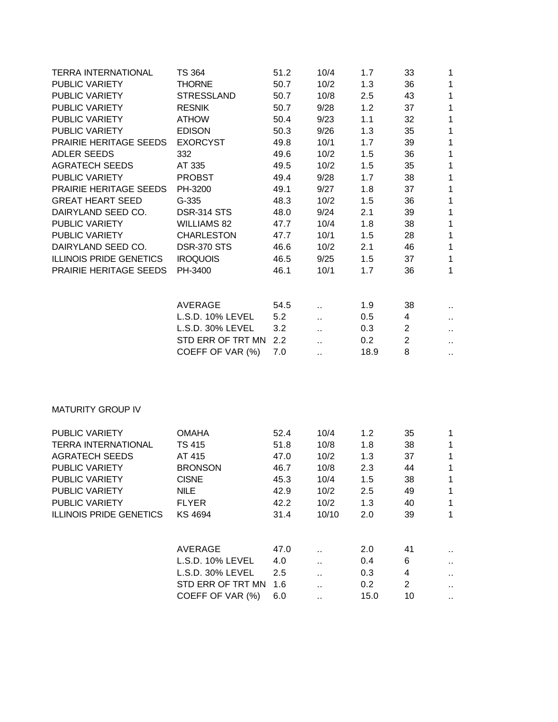| <b>TERRA INTERNATIONAL</b>     | <b>TS 364</b>      | 51.2 | 10/4                 | 1.7  | 33             | 1                    |
|--------------------------------|--------------------|------|----------------------|------|----------------|----------------------|
| <b>PUBLIC VARIETY</b>          | <b>THORNE</b>      | 50.7 | 10/2                 | 1.3  | 36             | 1                    |
| <b>PUBLIC VARIETY</b>          | <b>STRESSLAND</b>  | 50.7 | 10/8                 | 2.5  | 43             | $\mathbf{1}$         |
| PUBLIC VARIETY                 | <b>RESNIK</b>      | 50.7 | 9/28                 | 1.2  | 37             | 1                    |
| PUBLIC VARIETY                 | <b>ATHOW</b>       | 50.4 | 9/23                 | 1.1  | 32             | 1                    |
| PUBLIC VARIETY                 | <b>EDISON</b>      | 50.3 | 9/26                 | 1.3  | 35             | 1                    |
| PRAIRIE HERITAGE SEEDS         | <b>EXORCYST</b>    | 49.8 | 10/1                 | 1.7  | 39             | 1                    |
| <b>ADLER SEEDS</b>             | 332                | 49.6 | 10/2                 | 1.5  | 36             | $\mathbf{1}$         |
| <b>AGRATECH SEEDS</b>          | AT 335             | 49.5 | 10/2                 | 1.5  | 35             | $\mathbf{1}$         |
| PUBLIC VARIETY                 | <b>PROBST</b>      | 49.4 | 9/28                 | 1.7  | 38             | 1                    |
| PRAIRIE HERITAGE SEEDS         | PH-3200            | 49.1 | 9/27                 | 1.8  | 37             | $\mathbf{1}$         |
| <b>GREAT HEART SEED</b>        | G-335              | 48.3 | 10/2                 | 1.5  | 36             | $\mathbf 1$          |
| DAIRYLAND SEED CO.             | <b>DSR-314 STS</b> | 48.0 | 9/24                 | 2.1  | 39             | $\mathbf 1$          |
| PUBLIC VARIETY                 | <b>WILLIAMS 82</b> | 47.7 | 10/4                 | 1.8  | 38             | $\mathbf 1$          |
| PUBLIC VARIETY                 | <b>CHARLESTON</b>  | 47.7 | 10/1                 | 1.5  | 28             | $\mathbf{1}$         |
| DAIRYLAND SEED CO.             | <b>DSR-370 STS</b> | 46.6 | 10/2                 | 2.1  | 46             | $\mathbf{1}$         |
| <b>ILLINOIS PRIDE GENETICS</b> | <b>IROQUOIS</b>    | 46.5 | 9/25                 | 1.5  | 37             | $\mathbf 1$          |
| PRAIRIE HERITAGE SEEDS         | PH-3400            | 46.1 | 10/1                 | 1.7  | 36             | $\mathbf{1}$         |
|                                |                    |      |                      |      |                |                      |
|                                | <b>AVERAGE</b>     | 54.5 |                      | 1.9  | 38             |                      |
|                                | L.S.D. 10% LEVEL   | 5.2  | Ω,                   | 0.5  | 4              |                      |
|                                | L.S.D. 30% LEVEL   | 3.2  | Ω,                   | 0.3  | $\overline{c}$ | $\ddot{\phantom{1}}$ |
|                                | STD ERR OF TRT MN  | 2.2  | Ω,                   | 0.2  | $\overline{c}$ | $\ddot{\phantom{1}}$ |
|                                | COEFF OF VAR (%)   | 7.0  |                      | 18.9 | 8              | ò.                   |
|                                |                    |      | ٠.                   |      |                | ω.                   |
|                                |                    |      |                      |      |                |                      |
| <b>MATURITY GROUP IV</b>       |                    |      |                      |      |                |                      |
| <b>PUBLIC VARIETY</b>          | <b>OMAHA</b>       | 52.4 | 10/4                 | 1.2  | 35             | $\mathbf{1}$         |
| <b>TERRA INTERNATIONAL</b>     | <b>TS 415</b>      | 51.8 | 10/8                 | 1.8  | 38             | 1                    |
| <b>AGRATECH SEEDS</b>          | AT 415             | 47.0 | 10/2                 | 1.3  | 37             | 1                    |
| PUBLIC VARIETY                 | <b>BRONSON</b>     | 46.7 | 10/8                 | 2.3  | 44             | 1                    |
| PUBLIC VARIETY                 | <b>CISNE</b>       | 45.3 | 10/4                 | 1.5  | 38             | 1                    |
| PUBLIC VARIETY                 | <b>NILE</b>        | 42.9 | 10/2                 | 2.5  | 49             | $\mathbf{1}$         |
| PUBLIC VARIETY                 | <b>FLYER</b>       | 42.2 | 10/2                 | 1.3  | 40             | $\mathbf 1$          |
| <b>ILLINOIS PRIDE GENETICS</b> | KS 4694            | 31.4 | 10/10                | 2.0  | 39             | 1                    |
|                                |                    |      |                      |      |                |                      |
|                                | <b>AVERAGE</b>     | 47.0 |                      | 2.0  | 41             |                      |
|                                | L.S.D. 10% LEVEL   | 4.0  |                      | 0.4  | 6              |                      |
|                                | L.S.D. 30% LEVEL   | 2.5  | Ω,                   | 0.3  | 4              |                      |
|                                | STD ERR OF TRT MN  | 1.6  | Ω,                   | 0.2  | $\overline{2}$ | н.                   |
|                                | COEFF OF VAR (%)   | 6.0  | $\ddot{\phantom{0}}$ | 15.0 | 10             |                      |
|                                |                    |      | Ω,                   |      |                | ò,                   |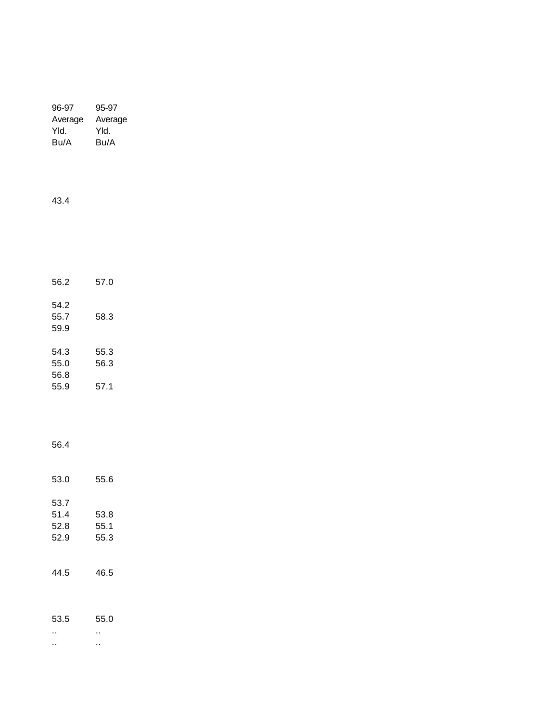| 96-97   | 95-97   |
|---------|---------|
| Average | Average |
| Yld.    | Yld.    |
| Bu/A    | Bu/A    |
|         |         |

43.4

| 56.2                 | 57.0         |
|----------------------|--------------|
| 54.2<br>55.7<br>59.9 | 58.3         |
| 54.3<br>55.0<br>56.8 | 55.3<br>56.3 |
| 55.9                 | 57.1         |

56.4

| 53.0                         | 55.6                 |
|------------------------------|----------------------|
| 53.7<br>51.4<br>52.8<br>52.9 | 53.8<br>55.1<br>55.3 |
| 44.5                         | 46.5                 |
| 53.5                         | 55.0<br>. .          |

.. ..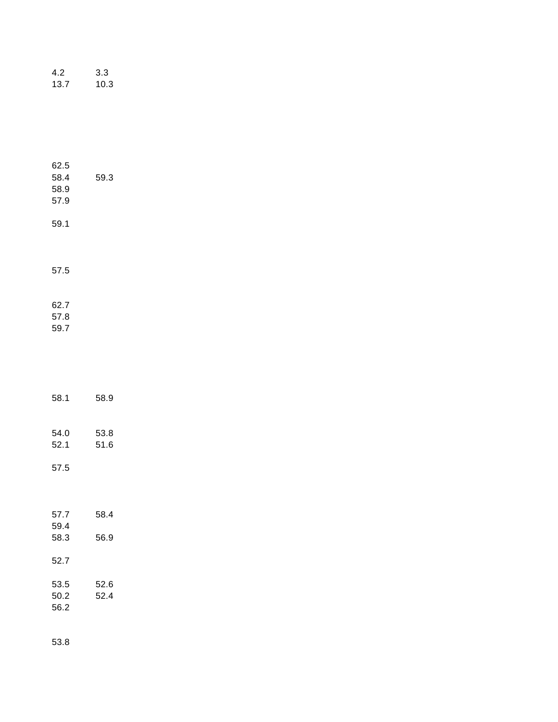| 4.2  | 3.3  |
|------|------|
| 13.7 | 10.3 |

| 62.5<br>58.4<br>58.9<br>57.9 | 59.3 |  |
|------------------------------|------|--|
| 59.1                         |      |  |
| 57.5                         |      |  |
| 62.7<br>57.8<br>59.7         |      |  |
| 58.1                         | 58.9 |  |

| 54.0 | 53.8 |
|------|------|
| 52.1 | 51.6 |

57.5

| 57.7         | 58.4 |
|--------------|------|
| 59.4<br>58.3 | 56.9 |
| 52.7         |      |
| 53.5         | 52.6 |
| 50.2         | 52 4 |
| 56.2         |      |

53.8